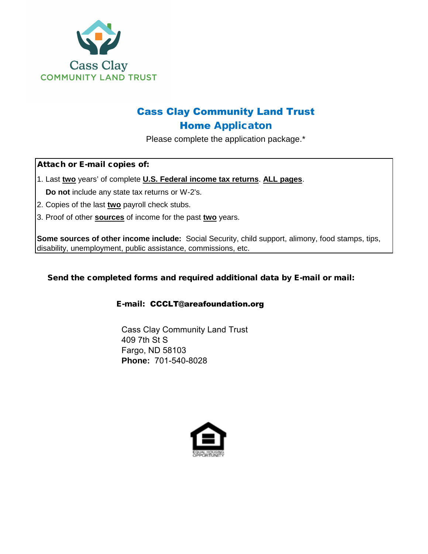

# Cass Clay Community Land Trust Home Applicaton

Please complete the application package.\*

Attach or E-mail copies of:

1. Last **two** years' of complete **U.S. Federal income tax returns**. **ALL pages**. **Do not** include any state tax returns or W-2's.

- 2. Copies of the last **two** payroll check stubs.
- 3. Proof of other **sources** of income for the past **two** years.

**Some sources of other income include:** Social Security, child support, alimony, food stamps, tips, disability, unemployment, public assistance, commissions, etc.

Send the completed forms and required additional data by E-mail or mail:

#### E-mail: CCCLT@areafoundation.org

Cass Clay Community Land Trust 409 7th St S Fargo, ND 58103 **Phone:** 701-540-8028

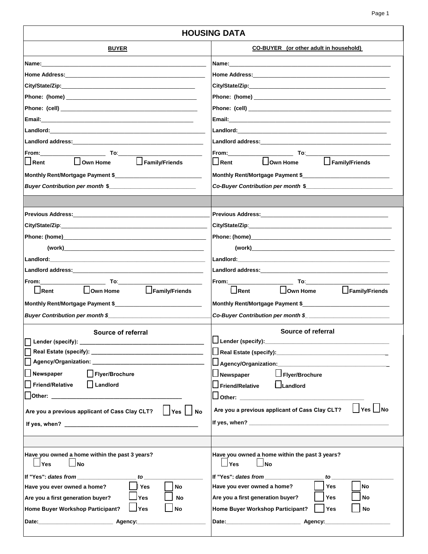| <b>HOUSING DATA</b>                                                                                                                                                                                                            |                                                                                                                              |  |  |
|--------------------------------------------------------------------------------------------------------------------------------------------------------------------------------------------------------------------------------|------------------------------------------------------------------------------------------------------------------------------|--|--|
| <b>BUYER</b>                                                                                                                                                                                                                   | <b>CO-BUYER</b> (or other adult in household)                                                                                |  |  |
|                                                                                                                                                                                                                                |                                                                                                                              |  |  |
|                                                                                                                                                                                                                                |                                                                                                                              |  |  |
|                                                                                                                                                                                                                                |                                                                                                                              |  |  |
|                                                                                                                                                                                                                                |                                                                                                                              |  |  |
|                                                                                                                                                                                                                                |                                                                                                                              |  |  |
|                                                                                                                                                                                                                                |                                                                                                                              |  |  |
|                                                                                                                                                                                                                                |                                                                                                                              |  |  |
|                                                                                                                                                                                                                                |                                                                                                                              |  |  |
|                                                                                                                                                                                                                                |                                                                                                                              |  |  |
| Family/Friends<br>$\Box$ Rent<br>$\Box$ Own Home                                                                                                                                                                               | l _l Rent<br>$\Box$ Own Home<br>$\Box$ Family/Friends                                                                        |  |  |
| Monthly Rent/Mortgage Payment \$                                                                                                                                                                                               | Monthly Rent/Mortgage Payment \$                                                                                             |  |  |
| Buyer Contribution per month \$                                                                                                                                                                                                | Co-Buyer Contribution per month \$                                                                                           |  |  |
|                                                                                                                                                                                                                                |                                                                                                                              |  |  |
|                                                                                                                                                                                                                                |                                                                                                                              |  |  |
|                                                                                                                                                                                                                                |                                                                                                                              |  |  |
| Phone: (home) and the contract of the contract of the contract of the contract of the contract of the contract of the contract of the contract of the contract of the contract of the contract of the contract of the contract |                                                                                                                              |  |  |
|                                                                                                                                                                                                                                |                                                                                                                              |  |  |
|                                                                                                                                                                                                                                |                                                                                                                              |  |  |
|                                                                                                                                                                                                                                |                                                                                                                              |  |  |
|                                                                                                                                                                                                                                |                                                                                                                              |  |  |
| Family/Friends<br>$\bigsqcup$ Rent<br>$\Box$ Own Home                                                                                                                                                                          | Family/Friends<br>$\Box$ Rent<br>$\Box$ Own Home                                                                             |  |  |
|                                                                                                                                                                                                                                | Monthly Rent/Mortgage Payment \$                                                                                             |  |  |
| Buyer Contribution per month \$                                                                                                                                                                                                |                                                                                                                              |  |  |
| Source of referral                                                                                                                                                                                                             | Source of referral                                                                                                           |  |  |
| Lender (specify): _                                                                                                                                                                                                            | п<br>$\Box$ Lender (specify):__<br>the control of the control of the control of the control of the control of the control of |  |  |
|                                                                                                                                                                                                                                |                                                                                                                              |  |  |
|                                                                                                                                                                                                                                |                                                                                                                              |  |  |
| Flyer/Brochure<br>Newspaper                                                                                                                                                                                                    | □ Flyer/Brochure<br>JNewspaper                                                                                               |  |  |
| Landlord<br><b>Friend/Relative</b>                                                                                                                                                                                             | Friend/Relative<br>$\Box$ Landlord                                                                                           |  |  |
| <b>Other:</b> _________                                                                                                                                                                                                        | $\Box$ Other: $\Box$ Other: $\Box$ Other: $\Box$                                                                             |  |  |
| $\vert$ Yes $\vert$ No<br>Are you a previous applicant of Cass Clay CLT?                                                                                                                                                       | $\bigsqcup$ Yes $\bigsqcup$ No<br>Are you a previous applicant of Cass Clay CLT?                                             |  |  |
|                                                                                                                                                                                                                                |                                                                                                                              |  |  |
|                                                                                                                                                                                                                                |                                                                                                                              |  |  |
| Have you owned a home within the past 3 years?<br>Yes<br>No                                                                                                                                                                    | Have you owned a home within the past 3 years?<br><b>No</b><br>⊥Yes                                                          |  |  |
| If "Yes": dates from _____________<br>to                                                                                                                                                                                       | If "Yes": dates from ________<br>to                                                                                          |  |  |
| <b>No</b><br>Have you ever owned a home?<br>Yes                                                                                                                                                                                | <b>No</b><br>Have you ever owned a home?<br>Yes                                                                              |  |  |
| Are you a first generation buyer?<br>Yes<br>No                                                                                                                                                                                 | Are you a first generation buyer?<br>Yes<br>No                                                                               |  |  |
| Home Buyer Workshop Participant?<br>Yes<br>No                                                                                                                                                                                  | Home Buyer Workshop Participant?<br>Yes<br>No                                                                                |  |  |
|                                                                                                                                                                                                                                |                                                                                                                              |  |  |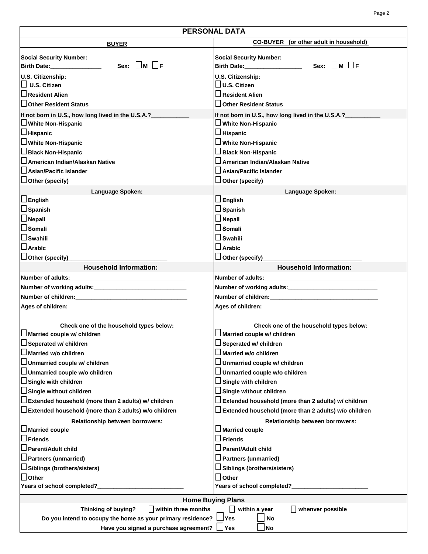| <b>PERSONAL DATA</b>                                                                                               |                                                                                                             |  |  |
|--------------------------------------------------------------------------------------------------------------------|-------------------------------------------------------------------------------------------------------------|--|--|
| <b>BUYER</b>                                                                                                       | CO-BUYER (or other adult in household)                                                                      |  |  |
|                                                                                                                    |                                                                                                             |  |  |
| Social Security Number:<br><u>Social Security Number:</u><br>$\Box$ F<br>Sex:<br>M<br>Birth Date: ________________ | Social Security Number:______________<br>$Sex: \blacksquare M \square F$<br>Birth Date: <b>Example 2014</b> |  |  |
| U.S. Citizenship:                                                                                                  | U.S. Citizenship:                                                                                           |  |  |
| $\Box$ U.S. Citizen                                                                                                | $\Box$ U.S. Citizen                                                                                         |  |  |
| $\sqcup$ Resident Alien                                                                                            | $\sqcup$ Resident Alien                                                                                     |  |  |
| □ Other Resident Status                                                                                            | $\square$ Other Resident Status                                                                             |  |  |
| If not born in U.S., how long lived in the U.S.A.?_____                                                            | If not born in U.S., how long lived in the U.S.A.?____                                                      |  |  |
| U White Non-Hispanic                                                                                               | U White Non-Hispanic                                                                                        |  |  |
| $\Box$ Hispanic                                                                                                    | $\Box$ Hispanic                                                                                             |  |  |
| $\Box$ White Non-Hispanic                                                                                          | $\Box$ White Non-Hispanic                                                                                   |  |  |
| □ Black Non-Hispanic                                                                                               | $\Box$ Black Non-Hispanic                                                                                   |  |  |
| $\square$ American Indian/Alaskan Native                                                                           | $\sqcup$ American Indian/Alaskan Native                                                                     |  |  |
| $\square$ Asian/Pacific Islander                                                                                   | $\square$ Asian/Pacific Islander                                                                            |  |  |
| $\Box$ Other (specify)                                                                                             | $\Box$ Other (specify)                                                                                      |  |  |
| Language Spoken:                                                                                                   | Language Spoken:                                                                                            |  |  |
| $\square$ English                                                                                                  | $\square$ English                                                                                           |  |  |
| $\square$ Spanish                                                                                                  | $\square$ Spanish                                                                                           |  |  |
| $\square$ Nepali                                                                                                   | $\square$ Nepali                                                                                            |  |  |
| $\square$ Somali                                                                                                   | $\square$ Somali                                                                                            |  |  |
| $\square$ Swahili                                                                                                  | $\Box$ Swahili                                                                                              |  |  |
| $\Box$ Arabic                                                                                                      | $\square$ Arabic                                                                                            |  |  |
| □ Other (specify)_____________________                                                                             | □ Other (specify)____________________________                                                               |  |  |
| <b>Household Information:</b>                                                                                      | <b>Household Information:</b>                                                                               |  |  |
|                                                                                                                    |                                                                                                             |  |  |
|                                                                                                                    |                                                                                                             |  |  |
|                                                                                                                    |                                                                                                             |  |  |
| Ages of children: Ages of children:                                                                                |                                                                                                             |  |  |
|                                                                                                                    |                                                                                                             |  |  |
| Check one of the household types below:                                                                            | Check one of the household types below:                                                                     |  |  |
| $\square$ Married couple w/ children                                                                               | $\Box$ Married couple w/ children                                                                           |  |  |
| $\Box$ Seperated w/ children                                                                                       | $\square$ Seperated w/ children                                                                             |  |  |
| <b>J</b> Married w/o children                                                                                      | ∫Married w/o children                                                                                       |  |  |
| $\Box$ Unmarried couple w/ children                                                                                | $\Box$ Unmarried couple w/ children                                                                         |  |  |
| $\Box$ Unmarried couple w/o children                                                                               | □ Unmarried couple w/o children                                                                             |  |  |
| $\sqcup$ Single with children                                                                                      | $\Box$ Single with children                                                                                 |  |  |
| $\Box$ Single without children                                                                                     | □ Single without children                                                                                   |  |  |
| $\Box$ Extended household (more than 2 adults) w/ children                                                         | $\Box$ Extended household (more than 2 adults) w/ children                                                  |  |  |
| $\Box$ Extended household (more than 2 adults) w/o children                                                        | $\Box$ Extended household (more than 2 adults) w/o children                                                 |  |  |
| Relationship between borrowers:                                                                                    | Relationship between borrowers:                                                                             |  |  |
| $\Box$ Married couple                                                                                              | $\square$ Married couple                                                                                    |  |  |
| $\square$ Friends<br>$\Box$ Friends                                                                                |                                                                                                             |  |  |
| _l Parent/Adult child                                                                                              | $\square$ Parent/Adult child                                                                                |  |  |
| $\sqcup$ Partners (unmarried)                                                                                      | $\Box$ Partners (unmarried)                                                                                 |  |  |
| ∐ Siblings (brothers/sisters)                                                                                      | ∐ Siblings (brothers/sisters)                                                                               |  |  |
| $\square$ Other                                                                                                    | $\Box$ Other                                                                                                |  |  |
| Years of school completed?                                                                                         | Years of school completed?                                                                                  |  |  |
|                                                                                                                    | <b>Home Buying Plans</b>                                                                                    |  |  |
| $\Box$ within three months<br>Thinking of buying?                                                                  | within a year<br>whenver possible                                                                           |  |  |
| Do you intend to occupy the home as your primary residence?                                                        | $\mathsf{\mathsf{I}Yes}$<br>No                                                                              |  |  |
| Have you signed a purchase agreement?<br><b>Yes</b><br><b>No</b>                                                   |                                                                                                             |  |  |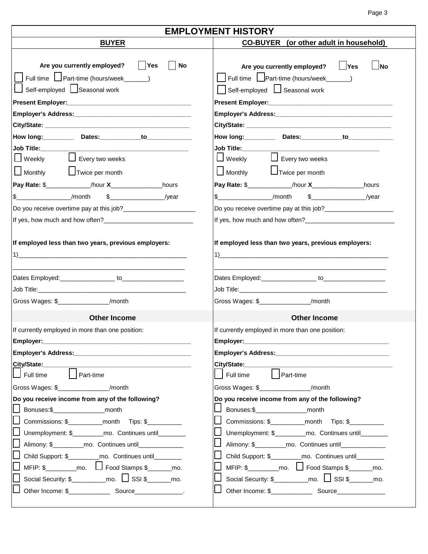Page 3

| <b>EMPLOYMENT HISTORY</b>                                                                                               |                                                                                                                           |  |  |
|-------------------------------------------------------------------------------------------------------------------------|---------------------------------------------------------------------------------------------------------------------------|--|--|
| <b>BUYER</b>                                                                                                            | <b>CO-BUYER</b> (or other adult in household)                                                                             |  |  |
| $ $ Yes<br>Are you currently employed?<br>No<br>Full time   Part-time (hours/week______)<br>Self-employed Seasonal work | Yes<br>Are you currently employed?<br><b>No</b><br>Full time Leart-time (hours/week______)<br>Self-employed Seasonal work |  |  |
|                                                                                                                         |                                                                                                                           |  |  |
|                                                                                                                         |                                                                                                                           |  |  |
|                                                                                                                         |                                                                                                                           |  |  |
| Job Title: <b>we are the set of the set of the set of the set of the set of the set of the set of the set of the s</b>  | Job Title: <b>Markey</b>                                                                                                  |  |  |
| $\Box$ Every two weeks<br>$\bigsqcup$ Weekly<br>$\Box$ Monthly<br>$\Box$ Twice per month                                | □ Weekly □ Every two weeks<br>Monthly <b>L</b> Twice per month                                                            |  |  |
| Pay Rate: \$______________/hour X___________________hours                                                               | Pay Rate: \$______________/hour X____________________hours                                                                |  |  |
| $\frac{1}{2}$ $\frac{1}{2}$ /month $\frac{1}{2}$ $\frac{1}{2}$ /year                                                    | $\textcircled{f}$ /month<br>$\frac{1}{2}$ /year                                                                           |  |  |
|                                                                                                                         |                                                                                                                           |  |  |
|                                                                                                                         |                                                                                                                           |  |  |
| If employed less than two years, previous employers:                                                                    | If employed less than two years, previous employers:<br>$\sim$ 1)                                                         |  |  |
| Gross Wages: \$________________/month                                                                                   | Gross Wages: \$ /month                                                                                                    |  |  |
|                                                                                                                         |                                                                                                                           |  |  |
| <b>Other Income</b>                                                                                                     | <b>Other Income</b>                                                                                                       |  |  |
| If currently employed in more than one position:<br>Employer:                                                           | If currently employed in more than one position:                                                                          |  |  |
|                                                                                                                         |                                                                                                                           |  |  |
| City/State:_________                                                                                                    |                                                                                                                           |  |  |
| Full time   Part-time                                                                                                   | Full time   Part-time                                                                                                     |  |  |
| Gross Wages: \$_________________/month                                                                                  | Gross Wages: \$________________/month                                                                                     |  |  |
| Do you receive income from any of the following?                                                                        | Do you receive income from any of the following?                                                                          |  |  |
| Bonuses:\$_____________________month                                                                                    | Bonuses:\$_____________________month                                                                                      |  |  |
| Commissions: \$_____________month Tips: \$__________                                                                    | Commissions: \$_____________month Tips: \$__________                                                                      |  |  |
| Unemployment: \$__________mo. Continues until________                                                                   | Unemployment: \$__________mo. Continues until________                                                                     |  |  |
| Alimony: \$___________mo. Continues until_______________                                                                | Alimony: \$___________mo. Continues until________________                                                                 |  |  |
| Child Support: \$___________mo. Continues until________                                                                 | Child Support: \$____________mo. Continues until_________                                                                 |  |  |
| $MFIP: $_________mo. \quad \Box$ Food Stamps $$_________mo.$                                                            | $MFIP: $$ ____________mo. $\Box$ Food Stamps \$________mo.                                                                |  |  |
| Social Security: $\frac{1}{2}$ mo. $\frac{1}{2}$ SSI $\frac{1}{2}$ mo.                                                  | Social Security: $\frac{1}{2}$ mo. $\frac{1}{2}$ SSI $\frac{1}{2}$ mo.                                                    |  |  |
|                                                                                                                         |                                                                                                                           |  |  |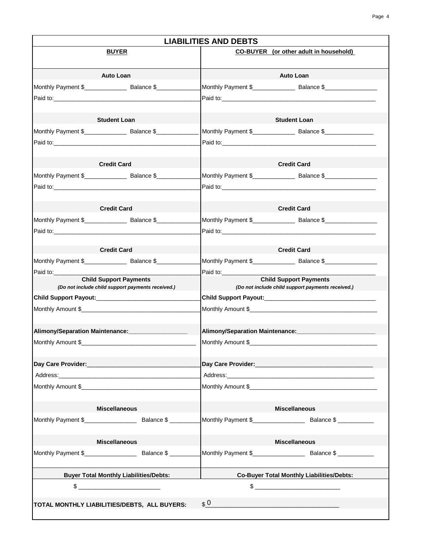| <b>BUYER</b><br><b>Auto Loan</b><br><b>Auto Loan</b><br><b>Student Loan</b><br><b>Student Loan</b><br>Paid to: <u>2008 - 2008 - 2008 - 2009 - 2009 - 2009 - 2009 - 2009 - 2009 - 2009 - 2009 - 2009 - 2009 - 2009 - 2009 - 2009 - 2009 - 2009 - 2009 - 2009 - 2009 - 2009 - 2009 - 2009 - 2009 - 2009 - 2009 - 2009 - 2009 - 2009 - 20</u><br><b>Credit Card</b><br><b>Credit Card</b><br><b>Credit Card</b><br><b>Credit Card</b><br><b>Credit Card</b><br><b>Credit Card</b><br>Paid to:<br>Paid to:<br><b>Child Support Payments</b><br><b>Child Support Payments</b><br>(Do not include child support payments received.)<br>(Do not include child support payments received.)<br>Alimony/Separation Maintenance: ___________________<br>Alimony/Separation Maintenance: ___________________________<br>Monthly Amount \$<br>Day Care Provider: New York State Care Provider State Care Provider State Care Provider<br>Monthly Amount \$<br><b>Miscellaneous</b><br><b>Miscellaneous</b> | <b>LIABILITIES AND DEBTS</b>           |  |  |  |
|-----------------------------------------------------------------------------------------------------------------------------------------------------------------------------------------------------------------------------------------------------------------------------------------------------------------------------------------------------------------------------------------------------------------------------------------------------------------------------------------------------------------------------------------------------------------------------------------------------------------------------------------------------------------------------------------------------------------------------------------------------------------------------------------------------------------------------------------------------------------------------------------------------------------------------------------------------------------------------------------------|----------------------------------------|--|--|--|
|                                                                                                                                                                                                                                                                                                                                                                                                                                                                                                                                                                                                                                                                                                                                                                                                                                                                                                                                                                                               | CO-BUYER (or other adult in household) |  |  |  |
|                                                                                                                                                                                                                                                                                                                                                                                                                                                                                                                                                                                                                                                                                                                                                                                                                                                                                                                                                                                               |                                        |  |  |  |
|                                                                                                                                                                                                                                                                                                                                                                                                                                                                                                                                                                                                                                                                                                                                                                                                                                                                                                                                                                                               |                                        |  |  |  |
|                                                                                                                                                                                                                                                                                                                                                                                                                                                                                                                                                                                                                                                                                                                                                                                                                                                                                                                                                                                               |                                        |  |  |  |
|                                                                                                                                                                                                                                                                                                                                                                                                                                                                                                                                                                                                                                                                                                                                                                                                                                                                                                                                                                                               |                                        |  |  |  |
|                                                                                                                                                                                                                                                                                                                                                                                                                                                                                                                                                                                                                                                                                                                                                                                                                                                                                                                                                                                               |                                        |  |  |  |
|                                                                                                                                                                                                                                                                                                                                                                                                                                                                                                                                                                                                                                                                                                                                                                                                                                                                                                                                                                                               |                                        |  |  |  |
|                                                                                                                                                                                                                                                                                                                                                                                                                                                                                                                                                                                                                                                                                                                                                                                                                                                                                                                                                                                               |                                        |  |  |  |
|                                                                                                                                                                                                                                                                                                                                                                                                                                                                                                                                                                                                                                                                                                                                                                                                                                                                                                                                                                                               |                                        |  |  |  |
|                                                                                                                                                                                                                                                                                                                                                                                                                                                                                                                                                                                                                                                                                                                                                                                                                                                                                                                                                                                               |                                        |  |  |  |
|                                                                                                                                                                                                                                                                                                                                                                                                                                                                                                                                                                                                                                                                                                                                                                                                                                                                                                                                                                                               |                                        |  |  |  |
|                                                                                                                                                                                                                                                                                                                                                                                                                                                                                                                                                                                                                                                                                                                                                                                                                                                                                                                                                                                               |                                        |  |  |  |
|                                                                                                                                                                                                                                                                                                                                                                                                                                                                                                                                                                                                                                                                                                                                                                                                                                                                                                                                                                                               |                                        |  |  |  |
|                                                                                                                                                                                                                                                                                                                                                                                                                                                                                                                                                                                                                                                                                                                                                                                                                                                                                                                                                                                               |                                        |  |  |  |
|                                                                                                                                                                                                                                                                                                                                                                                                                                                                                                                                                                                                                                                                                                                                                                                                                                                                                                                                                                                               |                                        |  |  |  |
|                                                                                                                                                                                                                                                                                                                                                                                                                                                                                                                                                                                                                                                                                                                                                                                                                                                                                                                                                                                               |                                        |  |  |  |
|                                                                                                                                                                                                                                                                                                                                                                                                                                                                                                                                                                                                                                                                                                                                                                                                                                                                                                                                                                                               |                                        |  |  |  |
|                                                                                                                                                                                                                                                                                                                                                                                                                                                                                                                                                                                                                                                                                                                                                                                                                                                                                                                                                                                               |                                        |  |  |  |
|                                                                                                                                                                                                                                                                                                                                                                                                                                                                                                                                                                                                                                                                                                                                                                                                                                                                                                                                                                                               |                                        |  |  |  |
|                                                                                                                                                                                                                                                                                                                                                                                                                                                                                                                                                                                                                                                                                                                                                                                                                                                                                                                                                                                               |                                        |  |  |  |
|                                                                                                                                                                                                                                                                                                                                                                                                                                                                                                                                                                                                                                                                                                                                                                                                                                                                                                                                                                                               |                                        |  |  |  |
|                                                                                                                                                                                                                                                                                                                                                                                                                                                                                                                                                                                                                                                                                                                                                                                                                                                                                                                                                                                               |                                        |  |  |  |
|                                                                                                                                                                                                                                                                                                                                                                                                                                                                                                                                                                                                                                                                                                                                                                                                                                                                                                                                                                                               |                                        |  |  |  |
|                                                                                                                                                                                                                                                                                                                                                                                                                                                                                                                                                                                                                                                                                                                                                                                                                                                                                                                                                                                               |                                        |  |  |  |
|                                                                                                                                                                                                                                                                                                                                                                                                                                                                                                                                                                                                                                                                                                                                                                                                                                                                                                                                                                                               |                                        |  |  |  |
|                                                                                                                                                                                                                                                                                                                                                                                                                                                                                                                                                                                                                                                                                                                                                                                                                                                                                                                                                                                               |                                        |  |  |  |
| <b>Miscellaneous</b><br><b>Miscellaneous</b>                                                                                                                                                                                                                                                                                                                                                                                                                                                                                                                                                                                                                                                                                                                                                                                                                                                                                                                                                  |                                        |  |  |  |
| Monthly Payment \$ Balance \$                                                                                                                                                                                                                                                                                                                                                                                                                                                                                                                                                                                                                                                                                                                                                                                                                                                                                                                                                                 |                                        |  |  |  |
| <b>Buyer Total Monthly Liabilities/Debts:</b><br><b>Co-Buyer Total Monthly Liabilities/Debts:</b>                                                                                                                                                                                                                                                                                                                                                                                                                                                                                                                                                                                                                                                                                                                                                                                                                                                                                             |                                        |  |  |  |
| $\mathbb{S}$                                                                                                                                                                                                                                                                                                                                                                                                                                                                                                                                                                                                                                                                                                                                                                                                                                                                                                                                                                                  |                                        |  |  |  |
| $\boldsymbol{\mathfrak{s}}$ 0<br>TOTAL MONTHLY LIABILITIES/DEBTS, ALL BUYERS:                                                                                                                                                                                                                                                                                                                                                                                                                                                                                                                                                                                                                                                                                                                                                                                                                                                                                                                 |                                        |  |  |  |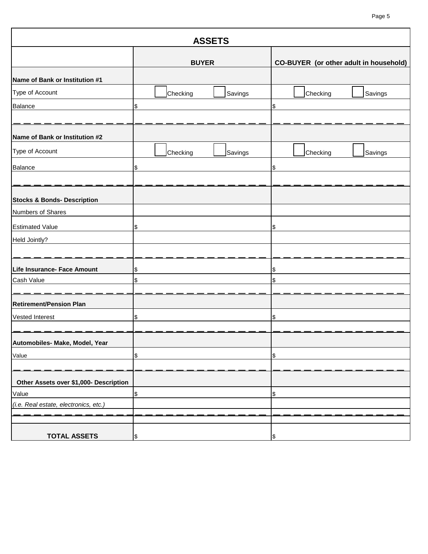### Page 5

|                                        | <b>ASSETS</b>       |                                        |
|----------------------------------------|---------------------|----------------------------------------|
|                                        | <b>BUYER</b>        | CO-BUYER (or other adult in household) |
| Name of Bank or Institution #1         |                     |                                        |
| Type of Account                        | Checking<br>Savings | Checking<br>Savings                    |
| Balance                                | \$                  | \$                                     |
| Name of Bank or Institution #2         |                     |                                        |
| Type of Account                        | Checking<br>Savings | Checking<br>Savings                    |
| Balance                                | \$                  | \$                                     |
| <b>Stocks &amp; Bonds- Description</b> |                     |                                        |
| Numbers of Shares                      |                     |                                        |
| <b>Estimated Value</b>                 | \$                  | \$                                     |
| Held Jointly?                          |                     |                                        |
|                                        |                     |                                        |
| Life Insurance- Face Amount            | \$                  | \$                                     |
| Cash Value                             | \$                  | \$                                     |
| <b>Retirement/Pension Plan</b>         |                     |                                        |
| Vested Interest                        | \$                  | \$                                     |
| Automobiles- Make, Model, Year         |                     |                                        |
| Value                                  | \$                  | \$                                     |
|                                        |                     |                                        |
| Other Assets over \$1,000- Description |                     |                                        |
| Value                                  | \$                  | \$                                     |
| (i.e. Real estate, electronics, etc.)  |                     |                                        |
|                                        |                     |                                        |
| <b>TOTAL ASSETS</b>                    | \$                  | \$                                     |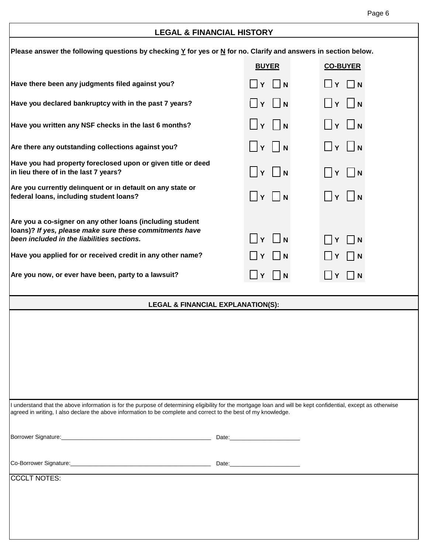## **LEGAL & FINANCIAL HISTORY**

| Please answer the following questions by checking $\underline{Y}$ for yes or $\underline{N}$ for no. Clarify and answers in section below.                                                                                                                                        |                                    |                                         |  |
|-----------------------------------------------------------------------------------------------------------------------------------------------------------------------------------------------------------------------------------------------------------------------------------|------------------------------------|-----------------------------------------|--|
|                                                                                                                                                                                                                                                                                   | <b>BUYER</b>                       | <b>CO-BUYER</b>                         |  |
| Have there been any judgments filed against you?                                                                                                                                                                                                                                  | $\Box$ Y $\Box$ N                  | $\Box$ Y $\Box$ N                       |  |
| Have you declared bankruptcy with in the past 7 years?                                                                                                                                                                                                                            | $\Box$ Y $\Box$ N                  | $\Box$ Y $\Box$ N                       |  |
| Have you written any NSF checks in the last 6 months?                                                                                                                                                                                                                             | $\Box$ Y $\Box$ N                  | $\Box$ $\mathsf{v}$ $\Box$ $\mathsf{N}$ |  |
| Are there any outstanding collections against you?                                                                                                                                                                                                                                |                                    | $\Box$ Y $\Box$ N                       |  |
| Have you had property foreclosed upon or given title or deed<br>in lieu there of in the last 7 years?                                                                                                                                                                             | $\vert \vert \gamma \vert \vert n$ |                                         |  |
| Are you currently delinquent or in default on any state or<br>federal loans, including student loans?                                                                                                                                                                             | Y  N                               | $\Box$ Y $\Box$ N                       |  |
| Are you a co-signer on any other loans (including student<br>loans)? If yes, please make sure these commitments have<br>been included in the liabilities sections.                                                                                                                | $\Box$ Y $\Box$ N                  | $\vert \ \vert \ Y \ \vert \ \vert N$   |  |
| Have you applied for or received credit in any other name?                                                                                                                                                                                                                        | $\Box Y \Box N$                    | ∐ Y ∣   N                               |  |
| Are you now, or ever have been, party to a lawsuit?                                                                                                                                                                                                                               | $\Box$ Y $\Box$ N                  | $\Box$ Y $\Box$ N                       |  |
| <b>LEGAL &amp; FINANCIAL EXPLANATION(S):</b>                                                                                                                                                                                                                                      |                                    |                                         |  |
|                                                                                                                                                                                                                                                                                   |                                    |                                         |  |
| I understand that the above information is for the purpose of determining eligibility for the mortgage loan and will be kept confidential, except as otherwise<br>agreed in writing, I also declare the above information to be complete and correct to the best of my knowledge. |                                    |                                         |  |
|                                                                                                                                                                                                                                                                                   | Date:___________________________   |                                         |  |
|                                                                                                                                                                                                                                                                                   |                                    |                                         |  |
| <b>CCCLT NOTES:</b>                                                                                                                                                                                                                                                               |                                    |                                         |  |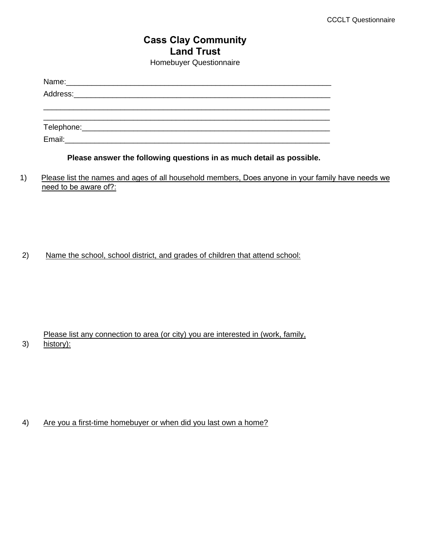## **Cass Clay Community Land Trust**  Homebuyer Questionnaire

**Please answer the following questions in as much detail as possible.**

1) Please list the names and ages of all household members, Does anyone in your family have needs we need to be aware of?:

2) Name the school, school district, and grades of children that attend school:

3) Please list any connection to area (or city) you are interested in (work, family, history):

4) Are you a first-time homebuyer or when did you last own a home?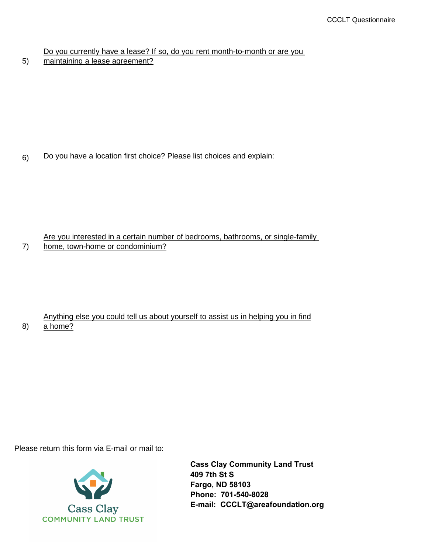Do you currently have a lease? If so, do you rent month-to-month or are you

5) maintaining a lease agreement?

7)

8)

## 6) Do you have a location first choice? Please list choices and explain:

#### Are you interested in a certain number of bedrooms, bathrooms, or single-family home, town-home or condominium?

## Anything else you could tell us about yourself to assist us in helping you in find a home?

Please return this form via E-mail or mail to:



**Cass Clay Community Land Trust 409 7th St S Fargo, ND 58103 Phone: 701-540-8028 E-mail: CCCLT@areafoundation.org**